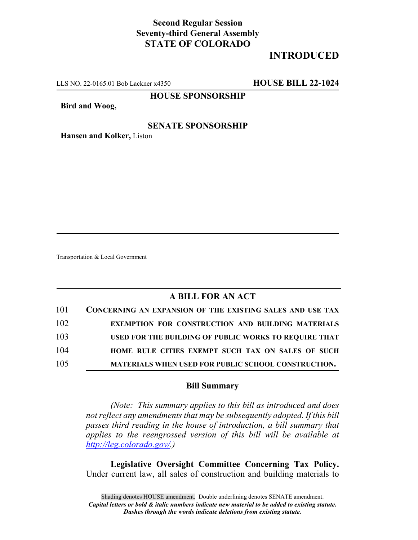## **Second Regular Session Seventy-third General Assembly STATE OF COLORADO**

# **INTRODUCED**

LLS NO. 22-0165.01 Bob Lackner x4350 **HOUSE BILL 22-1024**

### **HOUSE SPONSORSHIP**

**Bird and Woog,**

#### **SENATE SPONSORSHIP**

**Hansen and Kolker,** Liston

Transportation & Local Government

### **A BILL FOR AN ACT**

| 101 | CONCERNING AN EXPANSION OF THE EXISTING SALES AND USE TAX  |
|-----|------------------------------------------------------------|
| 102 | <b>EXEMPTION FOR CONSTRUCTION AND BUILDING MATERIALS</b>   |
| 103 | USED FOR THE BUILDING OF PUBLIC WORKS TO REOUIRE THAT      |
| 104 | HOME RULE CITIES EXEMPT SUCH TAX ON SALES OF SUCH          |
| 105 | <b>MATERIALS WHEN USED FOR PUBLIC SCHOOL CONSTRUCTION.</b> |

#### **Bill Summary**

*(Note: This summary applies to this bill as introduced and does not reflect any amendments that may be subsequently adopted. If this bill passes third reading in the house of introduction, a bill summary that applies to the reengrossed version of this bill will be available at http://leg.colorado.gov/.)*

**Legislative Oversight Committee Concerning Tax Policy.** Under current law, all sales of construction and building materials to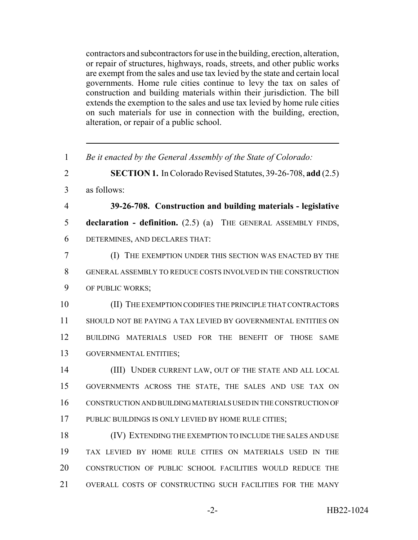contractors and subcontractors for use in the building, erection, alteration, or repair of structures, highways, roads, streets, and other public works are exempt from the sales and use tax levied by the state and certain local governments. Home rule cities continue to levy the tax on sales of construction and building materials within their jurisdiction. The bill extends the exemption to the sales and use tax levied by home rule cities on such materials for use in connection with the building, erection, alteration, or repair of a public school.

 *Be it enacted by the General Assembly of the State of Colorado:* **SECTION 1.** In Colorado Revised Statutes, 39-26-708, **add** (2.5) as follows: **39-26-708. Construction and building materials - legislative declaration - definition.** (2.5) (a) THE GENERAL ASSEMBLY FINDS, DETERMINES, AND DECLARES THAT: (I) THE EXEMPTION UNDER THIS SECTION WAS ENACTED BY THE GENERAL ASSEMBLY TO REDUCE COSTS INVOLVED IN THE CONSTRUCTION OF PUBLIC WORKS; (II) THE EXEMPTION CODIFIES THE PRINCIPLE THAT CONTRACTORS SHOULD NOT BE PAYING A TAX LEVIED BY GOVERNMENTAL ENTITIES ON BUILDING MATERIALS USED FOR THE BENEFIT OF THOSE SAME GOVERNMENTAL ENTITIES; (III) UNDER CURRENT LAW, OUT OF THE STATE AND ALL LOCAL GOVERNMENTS ACROSS THE STATE, THE SALES AND USE TAX ON CONSTRUCTION AND BUILDING MATERIALS USED IN THE CONSTRUCTION OF PUBLIC BUILDINGS IS ONLY LEVIED BY HOME RULE CITIES; (IV) EXTENDING THE EXEMPTION TO INCLUDE THE SALES AND USE TAX LEVIED BY HOME RULE CITIES ON MATERIALS USED IN THE CONSTRUCTION OF PUBLIC SCHOOL FACILITIES WOULD REDUCE THE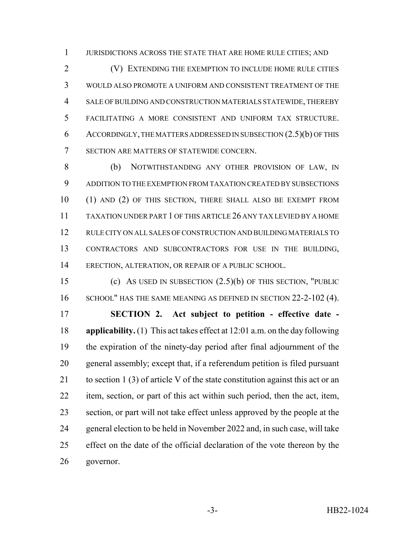JURISDICTIONS ACROSS THE STATE THAT ARE HOME RULE CITIES; AND

 (V) EXTENDING THE EXEMPTION TO INCLUDE HOME RULE CITIES WOULD ALSO PROMOTE A UNIFORM AND CONSISTENT TREATMENT OF THE SALE OF BUILDING AND CONSTRUCTION MATERIALS STATEWIDE, THEREBY FACILITATING A MORE CONSISTENT AND UNIFORM TAX STRUCTURE. ACCORDINGLY, THE MATTERS ADDRESSED IN SUBSECTION (2.5)(b) OF THIS SECTION ARE MATTERS OF STATEWIDE CONCERN.

 (b) NOTWITHSTANDING ANY OTHER PROVISION OF LAW, IN ADDITION TO THE EXEMPTION FROM TAXATION CREATED BY SUBSECTIONS (1) AND (2) OF THIS SECTION, THERE SHALL ALSO BE EXEMPT FROM TAXATION UNDER PART 1 OF THIS ARTICLE 26 ANY TAX LEVIED BY A HOME RULE CITY ON ALL SALES OF CONSTRUCTION AND BUILDING MATERIALS TO CONTRACTORS AND SUBCONTRACTORS FOR USE IN THE BUILDING, ERECTION, ALTERATION, OR REPAIR OF A PUBLIC SCHOOL.

 (c) AS USED IN SUBSECTION (2.5)(b) OF THIS SECTION, "PUBLIC 16 SCHOOL" HAS THE SAME MEANING AS DEFINED IN SECTION 22-2-102 (4).

 **SECTION 2. Act subject to petition - effective date - applicability.** (1) This act takes effect at 12:01 a.m. on the day following the expiration of the ninety-day period after final adjournment of the general assembly; except that, if a referendum petition is filed pursuant 21 to section 1 (3) of article V of the state constitution against this act or an item, section, or part of this act within such period, then the act, item, section, or part will not take effect unless approved by the people at the general election to be held in November 2022 and, in such case, will take effect on the date of the official declaration of the vote thereon by the governor.